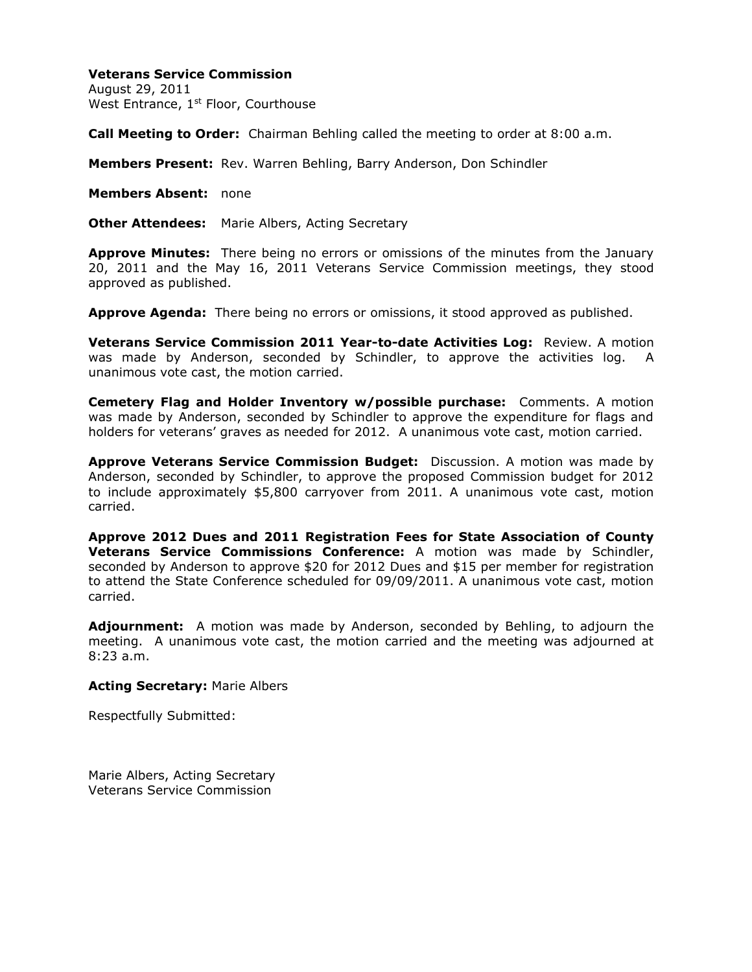## **Veterans Service Commission**

August 29, 2011 West Entrance, 1<sup>st</sup> Floor, Courthouse

**Call Meeting to Order:** Chairman Behling called the meeting to order at 8:00 a.m.

**Members Present:** Rev. Warren Behling, Barry Anderson, Don Schindler

**Members Absent:** none

**Other Attendees:** Marie Albers, Acting Secretary

**Approve Minutes:** There being no errors or omissions of the minutes from the January 20, 2011 and the May 16, 2011 Veterans Service Commission meetings, they stood approved as published.

**Approve Agenda:** There being no errors or omissions, it stood approved as published.

**Veterans Service Commission 2011 Year-to-date Activities Log:** Review. A motion was made by Anderson, seconded by Schindler, to approve the activities log. A unanimous vote cast, the motion carried.

**Cemetery Flag and Holder Inventory w/possible purchase:** Comments. A motion was made by Anderson, seconded by Schindler to approve the expenditure for flags and holders for veterans' graves as needed for 2012. A unanimous vote cast, motion carried.

**Approve Veterans Service Commission Budget:** Discussion. A motion was made by Anderson, seconded by Schindler, to approve the proposed Commission budget for 2012 to include approximately \$5,800 carryover from 2011. A unanimous vote cast, motion carried.

**Approve 2012 Dues and 2011 Registration Fees for State Association of County Veterans Service Commissions Conference:** A motion was made by Schindler, seconded by Anderson to approve \$20 for 2012 Dues and \$15 per member for registration to attend the State Conference scheduled for 09/09/2011. A unanimous vote cast, motion carried.

**Adjournment:** A motion was made by Anderson, seconded by Behling, to adjourn the meeting. A unanimous vote cast, the motion carried and the meeting was adjourned at 8:23 a.m.

## **Acting Secretary:** Marie Albers

Respectfully Submitted:

Marie Albers, Acting Secretary Veterans Service Commission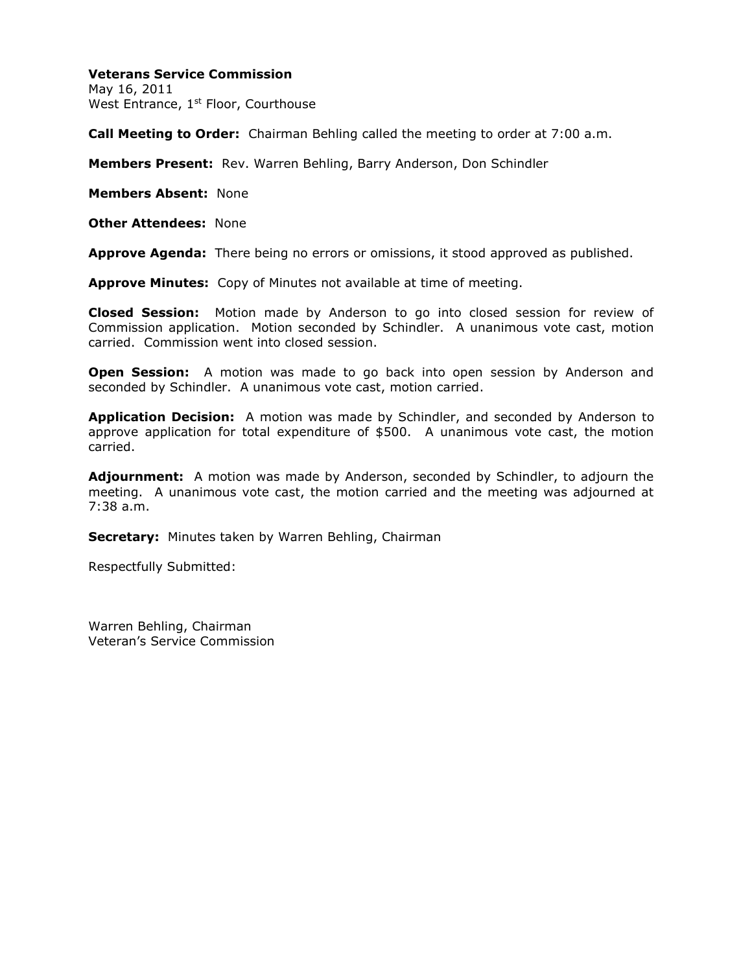## **Veterans Service Commission**

May 16, 2011 West Entrance, 1<sup>st</sup> Floor, Courthouse

**Call Meeting to Order:** Chairman Behling called the meeting to order at 7:00 a.m.

**Members Present:** Rev. Warren Behling, Barry Anderson, Don Schindler

**Members Absent:** None

**Other Attendees:** None

**Approve Agenda:** There being no errors or omissions, it stood approved as published.

**Approve Minutes:** Copy of Minutes not available at time of meeting.

**Closed Session:** Motion made by Anderson to go into closed session for review of Commission application. Motion seconded by Schindler. A unanimous vote cast, motion carried. Commission went into closed session.

**Open Session:** A motion was made to go back into open session by Anderson and seconded by Schindler. A unanimous vote cast, motion carried.

**Application Decision:** A motion was made by Schindler, and seconded by Anderson to approve application for total expenditure of \$500. A unanimous vote cast, the motion carried.

**Adjournment:** A motion was made by Anderson, seconded by Schindler, to adjourn the meeting. A unanimous vote cast, the motion carried and the meeting was adjourned at 7:38 a.m.

**Secretary:** Minutes taken by Warren Behling, Chairman

Respectfully Submitted:

Warren Behling, Chairman Veteran's Service Commission